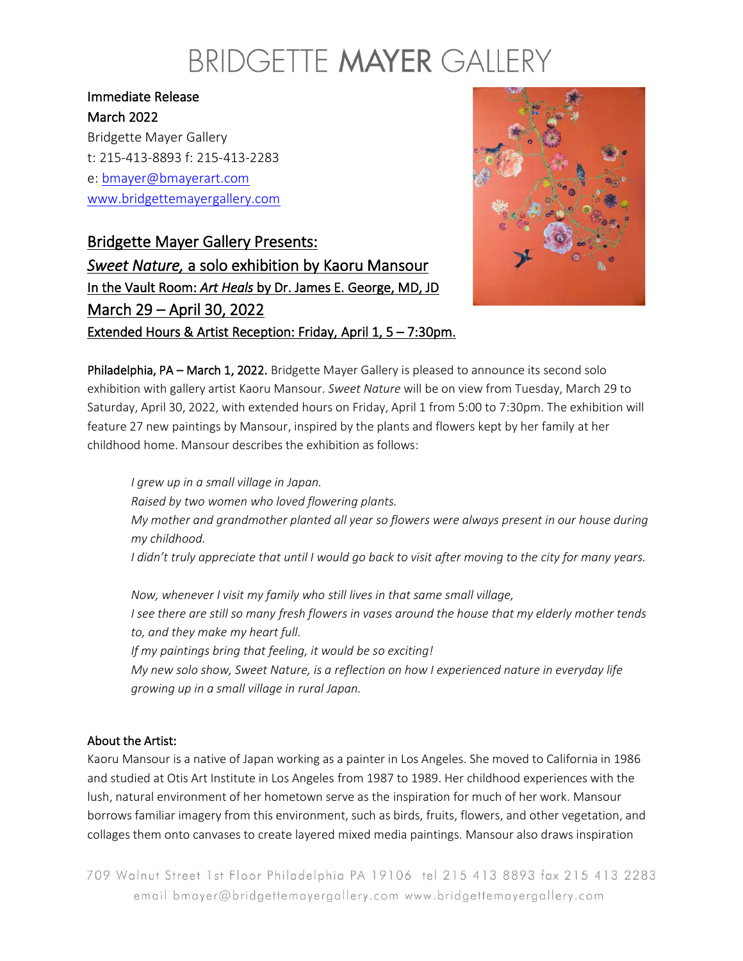## BRIDGETTE MAYER GALLERY

### Immediate Release March 2022

Bridgette Mayer Gallery t: 215-413-8893 f: 215-413-2283 e: [bmayer@bmayerart.com](mailto:bmayer@bmayerart.com) [www.bridgettemayergallery.com](http://www.bridgettemayergallery.com/)

Bridgette Mayer Gallery Presents: *Sweet Nature,* a solo exhibition by Kaoru Mansour In the Vault Room: *Art Heals* by Dr. James E. George, MD, JD March 29 – April 30, 2022 Extended Hours & Artist Reception: Friday, April 1, 5 – 7:30pm.



Philadelphia, PA – March 1, 2022. Bridgette Mayer Gallery is pleased to announce its second solo exhibition with gallery artist Kaoru Mansour. *Sweet Nature* will be on view from Tuesday, March 29 to Saturday, April 30, 2022, with extended hours on Friday, April 1 from 5:00 to 7:30pm. The exhibition will feature 27 new paintings by Mansour, inspired by the plants and flowers kept by her family at her childhood home. Mansour describes the exhibition as follows:

*I grew up in a small village in Japan. Raised by two women who loved flowering plants. My mother and grandmother planted all year so flowers were always present in our house during my childhood. I didn't truly appreciate that until I would go back to visit after moving to the city for many years.*

*Now, whenever I visit my family who still lives in that same small village, I see there are still so many fresh flowers in vases around the house that my elderly mother tends to, and they make my heart full. If my paintings bring that feeling, it would be so exciting! My new solo show, Sweet Nature, is a reflection on how I experienced nature in everyday life growing up in a small village in rural Japan.*

#### About the Artist:

Kaoru Mansour is a native of Japan working as a painter in Los Angeles. She moved to California in 1986 and studied at Otis Art Institute in Los Angeles from 1987 to 1989. Her childhood experiences with the lush, natural environment of her hometown serve as the inspiration for much of her work. Mansour borrows familiar imagery from this environment, such as birds, fruits, flowers, and other vegetation, and collages them onto canvases to create layered mixed media paintings. Mansour also draws inspiration

709 Walnut Street 1st Floor Philadelphia PA 19106 tel 215 413 8893 fax 215 413 2283 email bmayer@bridgettemayergallery.com www.bridgettemayergallery.com